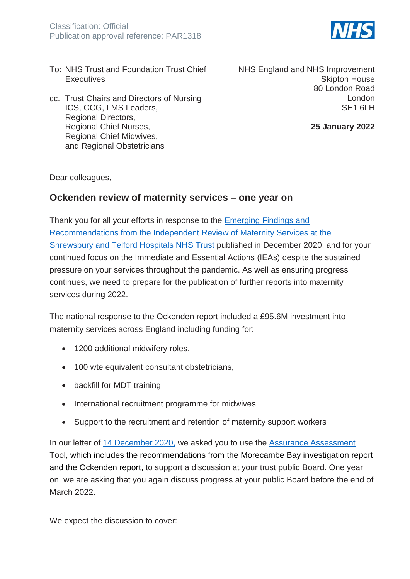

- To: NHS Trust and Foundation Trust Chief **Executives**
- cc. Trust Chairs and Directors of Nursing ICS, CCG, LMS Leaders, Regional Directors, Regional Chief Nurses, Regional Chief Midwives, and Regional Obstetricians

NHS England and NHS Improvement Skipton House 80 London Road London SE1 6LH

**25 January 2022**

Dear colleagues,

## **Ockenden review of maternity services – one year on**

Thank you for all your efforts in response to the [Emerging Findings and](https://www.donnaockenden.com/downloads/news/2020/12/ockenden-report.pdf)  [Recommendations from the Independent Review of Maternity Services at the](https://www.donnaockenden.com/downloads/news/2020/12/ockenden-report.pdf)  [Shrewsbury and Telford Hospitals NHS Trust](https://www.donnaockenden.com/downloads/news/2020/12/ockenden-report.pdf) published in December 2020, and for your continued focus on the Immediate and Essential Actions (IEAs) despite the sustained pressure on your services throughout the pandemic. As well as ensuring progress continues, we need to prepare for the publication of further reports into maternity services during 2022.

The national response to the Ockenden report included a £95.6M investment into maternity services across England including funding for:

- 1200 additional midwifery roles,
- 100 wte equivalent consultant obstetricians,
- backfill for MDT training
- International recruitment programme for midwives
- Support to the recruitment and retention of maternity support workers

In our letter of [14 December](https://www.england.nhs.uk/publication/ockenden-review-of-maternity-services/) 2020, we asked you to use the [Assurance Assessment](https://www.england.nhs.uk/publication/assessment-and-assurance-tool/) Tool, which includes the recommendations from the Morecambe Bay investigation report and the Ockenden report, to support a discussion at your trust public Board. One year on, we are asking that you again discuss progress at your public Board before the end of March 2022.

We expect the discussion to cover: